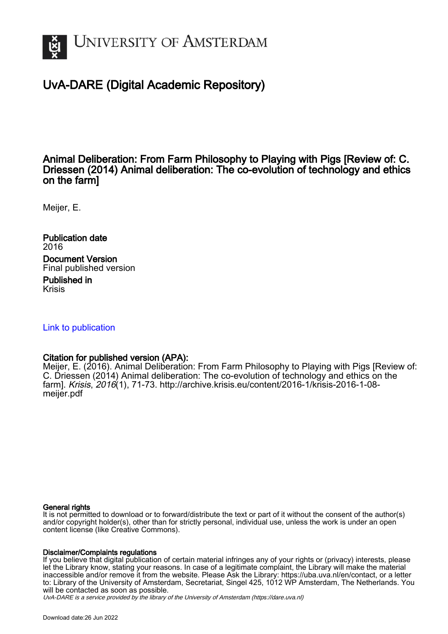

### UvA-DARE (Digital Academic Repository)

Animal Deliberation: From Farm Philosophy to Playing with Pigs [Review of: C. Driessen (2014) Animal deliberation: The co-evolution of technology and ethics on the farm]

Meijer, E.

Publication date 2016 Document Version Final published version Published in Krisis

[Link to publication](https://dare.uva.nl/personal/pure/en/publications/animal-deliberation-from-farm-philosophy-to-playing-with-pigs-review-of-c-driessen-2014-animal-deliberation-the-coevolution-of-technology-and-ethics-on-the-farm(82f290f0-d779-4e2c-85af-aaa434fe3ef7).html)

### Citation for published version (APA):

Meijer, E. (2016). Animal Deliberation: From Farm Philosophy to Playing with Pigs [Review of: C. Driessen (2014) Animal deliberation: The co-evolution of technology and ethics on the farm]. Krisis, 2016(1), 71-73. [http://archive.krisis.eu/content/2016-1/krisis-2016-1-08](http://archive.krisis.eu/content/2016-1/krisis-2016-1-08-meijer.pdf) [meijer.pdf](http://archive.krisis.eu/content/2016-1/krisis-2016-1-08-meijer.pdf)

#### General rights

It is not permitted to download or to forward/distribute the text or part of it without the consent of the author(s) and/or copyright holder(s), other than for strictly personal, individual use, unless the work is under an open content license (like Creative Commons).

#### Disclaimer/Complaints regulations

If you believe that digital publication of certain material infringes any of your rights or (privacy) interests, please let the Library know, stating your reasons. In case of a legitimate complaint, the Library will make the material inaccessible and/or remove it from the website. Please Ask the Library: https://uba.uva.nl/en/contact, or a letter to: Library of the University of Amsterdam, Secretariat, Singel 425, 1012 WP Amsterdam, The Netherlands. You will be contacted as soon as possible.

UvA-DARE is a service provided by the library of the University of Amsterdam (http*s*://dare.uva.nl)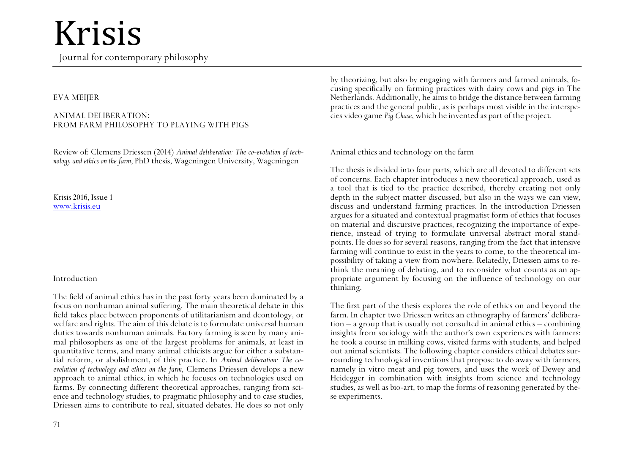### Krisis

Journal for contemporary philosophy

#### EVA MEIJER

#### ANIMAL DELIBERATION: FROM FARM PHILOSOPHY TO PLAYING WITH PIGS

Review of: Clemens Driessen (2014) *Animal deliberation: The co-evolution of technology and ethics on the farm*, PhD thesis, Wageningen University, Wageningen

Krisis 2016, Issue 1 www.krisis.eu

#### Introduction

The field of animal ethics has in the past forty years been dominated by a focus on nonhuman animal suffering. The main theoretical debate in this field takes place between proponents of utilitarianism and deontology, or welfare and rights. The aim of this debate is to formulate universal human duties towards nonhuman animals. Factory farming is seen by many animal philosophers as one of the largest problems for animals, at least in quantitative terms, and many animal ethicists argue for either a substantial reform, or abolishment, of this practice. In *Animal deliberation: The coevolution of technology and ethics on the farm*, Clemens Driessen develops a new approach to animal ethics, in which he focuses on technologies used on farms. By connecting different theoretical approaches, ranging from science and technology studies, to pragmatic philosophy and to case studies, Driessen aims to contribute to real, situated debates. He does so not only by theorizing, but also by engaging with farmers and farmed animals, focusing specifically on farming practices with dairy cows and pigs in The Netherlands. Additionally, he aims to bridge the distance between farming practices and the general public, as is perhaps most visible in the interspecies video game *Pig Chase*, which he invented as part of the project.

Animal ethics and technology on the farm

The thesis is divided into four parts, which are all devoted to different sets of concerns. Each chapter introduces a new theoretical approach, used as a tool that is tied to the practice described, thereby creating not only depth in the subject matter discussed, but also in the ways we can view, discuss and understand farming practices. In the introduction Driessen argues for a situated and contextual pragmatist form of ethics that focuses on material and discursive practices, recognizing the importance of experience, instead of trying to formulate universal abstract moral standpoints. He does so for several reasons, ranging from the fact that intensive farming will continue to exist in the years to come, to the theoretical impossibility of taking a view from nowhere. Relatedly, Driessen aims to rethink the meaning of debating, and to reconsider what counts as an appropriate argument by focusing on the influence of technology on our thinking.

The first part of the thesis explores the role of ethics on and beyond the farm. In chapter two Driessen writes an ethnography of farmers' deliberation – a group that is usually not consulted in animal ethics – combining insights from sociology with the author's own experiences with farmers: he took a course in milking cows, visited farms with students, and helped out animal scientists. The following chapter considers ethical debates surrounding technological inventions that propose to do away with farmers, namely in vitro meat and pig towers, and uses the work of Dewey and Heidegger in combination with insights from science and technology studies, as well as bio-art, to map the forms of reasoning generated by these experiments.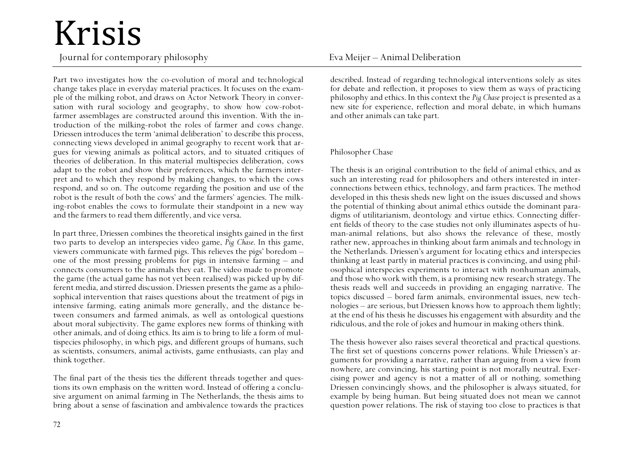# Krisis

Journal for contemporary philosophy Eva Meijer – Animal Deliberation

Part two investigates how the co-evolution of moral and technological change takes place in everyday material practices. It focuses on the example of the milking robot, and draws on Actor Network Theory in conversation with rural sociology and geography, to show how cow-robotfarmer assemblages are constructed around this invention. With the introduction of the milking-robot the roles of farmer and cows change. Driessen introduces the term 'animal deliberation' to describe this process, connecting views developed in animal geography to recent work that argues for viewing animals as political actors, and to situated critiques of theories of deliberation. In this material multispecies deliberation, cows adapt to the robot and show their preferences, which the farmers interpret and to which they respond by making changes, to which the cows respond, and so on. The outcome regarding the position and use of the robot is the result of both the cows' and the farmers' agencies. The milking-robot enables the cows to formulate their standpoint in a new way and the farmers to read them differently, and vice versa.

In part three, Driessen combines the theoretical insights gained in the first two parts to develop an interspecies video game, *Pig Chase*. In this game, viewers communicate with farmed pigs. This relieves the pigs' boredom – one of the most pressing problems for pigs in intensive farming – and connects consumers to the animals they eat. The video made to promote the game (the actual game has not yet been realised) was picked up by different media, and stirred discussion. Driessen presents the game as a philosophical intervention that raises questions about the treatment of pigs in intensive farming, eating animals more generally, and the distance between consumers and farmed animals, as well as ontological questions about moral subjectivity. The game explores new forms of thinking with other animals, and of doing ethics. Its aim is to bring to life a form of multispecies philosophy, in which pigs, and different groups of humans, such as scientists, consumers, animal activists, game enthusiasts, can play and think together.

The final part of the thesis ties the different threads together and questions its own emphasis on the written word. Instead of offering a conclusive argument on animal farming in The Netherlands, the thesis aims to bring about a sense of fascination and ambivalence towards the practices

described. Instead of regarding technological interventions solely as sites for debate and reflection, it proposes to view them as ways of practicing philosophy and ethics. In this context the *Pig Chase* project is presented as a new site for experience, reflection and moral debate, in which humans and other animals can take part.

#### Philosopher Chase

The thesis is an original contribution to the field of animal ethics, and as such an interesting read for philosophers and others interested in interconnections between ethics, technology, and farm practices. The method developed in this thesis sheds new light on the issues discussed and shows the potential of thinking about animal ethics outside the dominant paradigms of utilitarianism, deontology and virtue ethics. Connecting different fields of theory to the case studies not only illuminates aspects of human-animal relations, but also shows the relevance of these, mostly rather new, approaches in thinking about farm animals and technology in the Netherlands. Driessen's argument for locating ethics and interspecies thinking at least partly in material practices is convincing, and using philosophical interspecies experiments to interact with nonhuman animals, and those who work with them, is a promising new research strategy. The thesis reads well and succeeds in providing an engaging narrative. The topics discussed – bored farm animals, environmental issues, new technologies – are serious, but Driessen knows how to approach them lightly; at the end of his thesis he discusses his engagement with absurdity and the ridiculous, and the role of jokes and humour in making others think.

The thesis however also raises several theoretical and practical questions. The first set of questions concerns power relations. While Driessen's arguments for providing a narrative, rather than arguing from a view from nowhere, are convincing, his starting point is not morally neutral. Exercising power and agency is not a matter of all or nothing, something Driessen convincingly shows, and the philosopher is always situated, for example by being human. But being situated does not mean we cannot question power relations. The risk of staying too close to practices is that